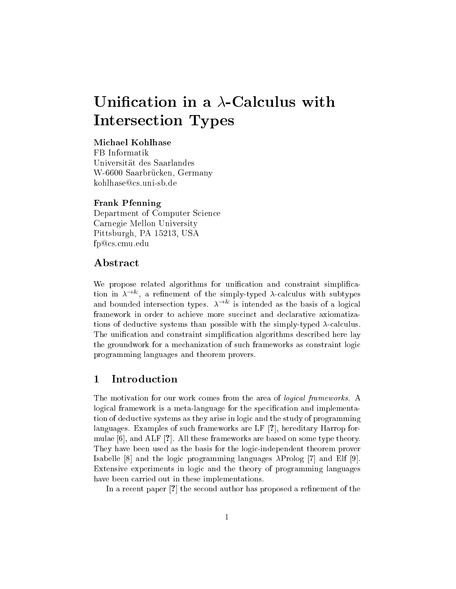# Unification in a  $\lambda$ -Calculus with Interse
tion Types

# Mi
hael Kohlhase

FB Informatik Universitat des Saarlandes W-6600 Saarbrücken, Germany kohlhase@cs.uni-sb.de

### Frank Pfenning

Department of Computer Science Carnegie Mellon University Pittsburgh, PA 15213, USA fp@cs.cmu.edu

# **Abstract**

We propose related algorithms for unification and constraint simplification in  $\lambda$  , a remement of the simply-typed  $\lambda$ -calculus with subtypes and bounded intersection types.  $A \cong$  is intended as the basis of a logical framework in order to achieve more succinct and declarative axiomatizations of deductive systems than possible with the simply-typed  $\lambda$ -calculus. The unification and constraint simplification algorithms described here lay the groundwork for a me
hanization of su
h frameworks as onstraint logi programming languages and theorem provers.

# 1 Introduction

The motivation for our work comes from the area of *logical frameworks*. A logical framework is a meta-language for the specification and implementation of deductive systems as they arise in logic and the study of programming languages. Examples of such frameworks are LF [?], hereditary Harrop formulae  $[6]$ , and ALF  $[?]$ . All these frameworks are based on some type theory. They have been used as the basis for the logi
-independent theorem prover Isabelle [8] and the logic programming languages  $\lambda$ Prolog [7] and Elf [9]. Extensive experiments in logi and the theory of programming languages have been arried out in these implementations.

In a recent paper [?] the second author has proposed a refinement of the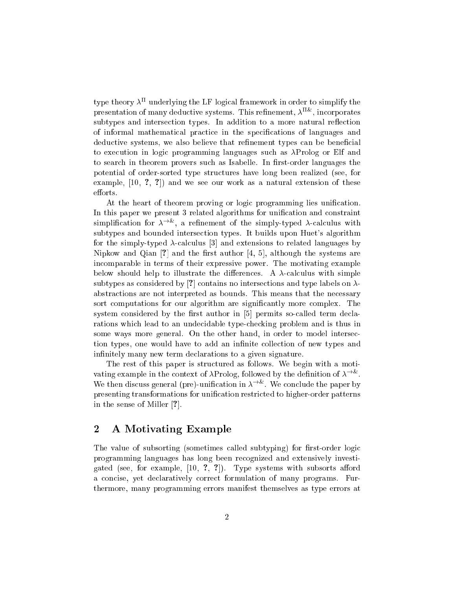type theory  $\lambda^+$  underlying the LF logical framework in order to simplify the presentation of many deductive systems. I his refinement,  $\lambda^{++}$ , incorporates subtypes and intersection types. In addition to a more natural reflection of informal mathematical practice in the specifications of languages and deductive systems, we also believe that refinement types can be beneficial to execution in logic programming languages such as  $\lambda$ Prolog or Elf and to search in theorem provers such as Isabelle. In first-order languages the potential of order-sorted type stru
tures have long been realized (see, for example,  $[10, 3, 7]$  and we see our work as a natural extension of these efforts.

At the heart of theorem proving or logic programming lies unification. In this paper we present 3 related algorithms for unification and constraint simplification for  $\lambda$  , a refinement of the simply-typed  $\lambda$ -calculus with subtypes and bounded interse
tion types. It builds upon Huet's algorithm for the simply-typed  $\lambda$ -calculus [3] and extensions to related languages by Nipkow and Qian [?] and the first author  $[4, 5]$ , although the systems are in
omparable in terms of their expressive power. The motivating example below should help to illustrate the differences. A  $\lambda$ -calculus with simple subtypes as considered by [?] contains no intersections and type labels on  $\lambda$ abstractions are not interpreted as bounds. This means that the necessary sort computations for our algorithm are significantly more complex. The system considered by the first author in  $[5]$  permits so-called term declarations which lead to an undecidable type-checking problem and is thus in some ways more general. On the other hand, in order to model interse
 tion types, one would have to add an infinite collection of new types and infinitely many new term declarations to a given signature.

The rest of this paper is structured as follows. We begin with a motivating example in the context of  $\lambda$ Prolog, followed by the definition of  $\lambda$  . T. We then discuss general (pre)-unification in  $\lambda$  and we conclude the paper by presenting transformations for unification restricted to higher-order patterns in the sense of Miller  $[?].$ 

# 2 A Motivating Example

The value of subsorting (sometimes called subtyping) for first-order logic programming languages has long been re
ognized and extensively investigated (see, for example,  $[10, 7, 7]$ ). Type systems with subsorts afford a on
ise, yet de
laratively orre
t formulation of many programs. Furthermore, many programming errors manifest themselves as type errors at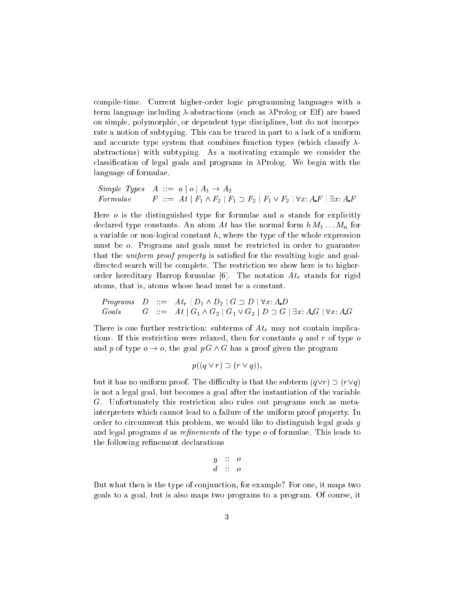compile-time. Current higher-order logic programming languages with a term language including  $\lambda$ -abstractions (such as  $\lambda$ Prolog or Elf) are based on simple, polymorphic, or dependent type disciplines, but do not incorporate a notion of subtyping. This can be traced in part to a lack of a uniform and accurate type system that combines function types (which classify  $\lambda$ abstra
tions) with subtyping. As a motivating example we onsider the classification of legal goals and programs in  $\lambda$ Prolog. We begin with the language of formulae.

Simple Types 
$$
A ::= a | o | A_1 \rightarrow A_2
$$
  
Formulae  $F ::= At | F_1 \wedge F_2 | F_1 \supset F_2 | F_1 \vee F_2 | \forall x: A.F | \exists x: A.F$ 

Here  $\sigma$  is the distinguished type for formulae and  $\sigma$  stands for explicitly declared type constants. An atom At has the normal form  $h M_1 \ldots M_n$  for a variable or non-logical constant  $h$ , where the type of the whole expression must be *o*. Programs and goals must be restricted in order to guarantee that the *uniform proof property* is satisfied for the resulting logic and goaldirected search will be complete. The restriction we show here is to higherorder hereditary Harrop formulae [6]. The notation  $At_r$  stands for rigid atoms, that is, atoms whose head must be a onstant.

*Programs* 
$$
D ::= At_r | D_1 \wedge D_2 | G \supset D | \forall x: A.D
$$
  
*Goals*  $G ::= At | G_1 \wedge G_2 | G_1 \vee G_2 | D \supset G | \exists x: A.G | \forall x: A.G$ 

There is one further restriction: subterms of  $At_r$  may not contain implications. If this restriction were relaxed, then for constants q and r of type  $\sigma$ and p of type  $o \to o$ , the goal  $p G \wedge G$  has a proof given the program

$$
p((q \lor r) \supset (r \lor q)),
$$

but it has no uniform proof. The difficulty is that the subterm  $(q\vee r) \supset (r\vee q)$ is not a legal goal, but be
omes a goal after the instantiation of the variable G. Unfortunately this restri
tion also rules out programs su
h as metainterpreters whi
h annot lead to a failure of the uniform proof property. In order to circumvent this problem, we would like to distinguish legal goals  $g$ and legal programs  $d$  as refinements of the type  $o$  of formulae. This leads to the following refinement declarations

$$
\begin{array}{c}g \ :: \ o \\ d \ :: \ o \end{array}
$$

But what then is the type of conjunction, for example? For one, it maps two goals to a goal, but is also maps two programs to a program. Of ourse, it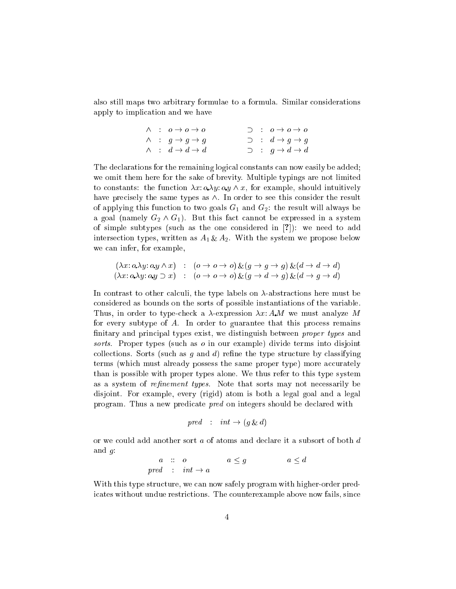also still maps two arbitrary formulae to a formula. Similar considerations apply to impli
ation and we have

|  | $\wedge$ : $o \rightarrow o \rightarrow o$ | $\supset$ : $0 \to 0 \to 0$ |
|--|--------------------------------------------|-----------------------------|
|  | $\wedge$ : $g \rightarrow g \rightarrow g$ | $\supset$ : $d \to g \to g$ |
|  | $\wedge$ : $d \rightarrow d \rightarrow d$ | $\supset$ : $q \to d \to d$ |

The de
larations for the remaining logi
al onstants an now easily be added; we omit them here for the sake of brevity. Multiple typings are not limited to constants: the function  $\lambda x: \alpha \lambda y: \alpha y \wedge x$ , for example, should intuitively have precisely the same types as  $\wedge$ . In order to see this consider the result of applying this function to two goals  $G_1$  and  $G_2$ : the result will always be a goal (namely  $G_2 \wedge G_1$ ). But this fact cannot be expressed in a system of simple subtypes (such as the one considered in  $[?]$ ): we need to add intersection types, written as  $A_1 \& A_2$ . With the system we propose below we an infer, for example,

$$
(\lambda x: o.\lambda y: o.y \wedge x) : (o \to o \to o) \& (g \to g \to g) \& (d \to d \to d)
$$
  

$$
(\lambda x: o.\lambda y: o.y \supset x) : (o \to o \to o) \& (g \to d \to g) \& (d \to g \to d)
$$

In contrast to other calculi, the type labels on  $\lambda$ -abstractions here must be onsidered as bounds on the sorts of possible instantiations of the variable. Thus, in order to type-check a  $\lambda$ -expression  $\lambda x$ : A.M we must analyze M for every subtype of A. In order to guarantee that this pro
ess remains finitary and principal types exist, we distinguish between *proper types* and sorts. Proper types (such as o in our example) divide terms into disjoint collections. Sorts (such as  $g$  and  $d$ ) refine the type structure by classifying terms (which must already possess the same proper type) more accurately than is possible with proper types alone. We thus refer to this type system as a system of *refinement types*. Note that sorts may not necessarily be disjoint. For example, every (rigid) atom is both a legal goal and a legal program. Thus a new predicate *pred* on integers should be declared with

$$
pred : int \rightarrow (g \& d)
$$

or we ould add another sort a of atoms and de
lare it a subsort of both d and  $q$ :

a :: o a g a d pred : int ! a

With this type structure, we can now safely program with higher-order predicates without undue restrictions. The counterexample above now fails, since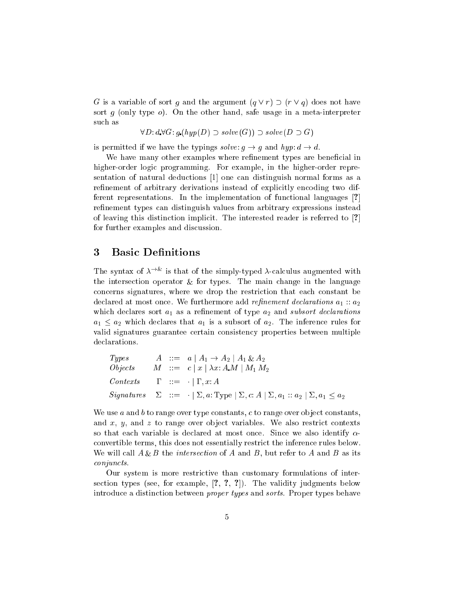G is a variable of sort g and the argument  $(q \vee r) \supset (r \vee q)$  does not have sort g (only type  $o$ ). On the other hand, safe usage in a meta-interpreter su
h as

$$
\forall D: d\ \forall G: g.(hyp(D) \supset solve(G)) \supset solve(D \supset G)
$$

is permitted if we have the typings  $solve: g \rightarrow g$  and  $hyp: d \rightarrow d$ .

We have many other examples where refinement types are beneficial in higher-order logic programming. For example, in the higher-order representation of natural deductions [1] one can distinguish normal forms as a refinement of arbitrary derivations instead of explicitly encoding two different representations. In the implementation of functional languages [?] refinement types can distinguish values from arbitrary expressions instead of leaving this distinction implicit. The interested reader is referred to [?] for further examples and dis
ussion.

# 3 Basic Definitions

The syntax of  $\lambda$  . Is that of the simply-typed  $\lambda$ -calculus augmented with the intersection operator  $\mathbf{u}_t$  are  $\mathbf{u}_t$  post the main the main the main  $\mathbf{u}_t$ on
erns signatures, where we drop the restri
tion that ea
h onstant be declared at most once. We furthermore add *refinement declarations*  $a_1$ :  $a_2$ which declares sort  $a_1$  as a refinement of type  $a_2$  and subsort declarations  $a_1 \leq a_2$  which declares that  $a_1$  is a subsort of  $a_2$ . The inference rules for valid signatures guarantee ertain onsisten
y properties between multiple de
larations.

| Types      | A        | ::= | $a \mid A_1 \rightarrow A_2 \mid A_1 \& A_2$                                                            |
|------------|----------|-----|---------------------------------------------------------------------------------------------------------|
| Objects    | $M$      | ::= | $c \mid x \mid \lambda x: A.M \mid M_1 M_2$                                                             |
| Contents   | $\Gamma$ | ::= | $\cdot \mid \Gamma, x: A$                                                                               |
| Signatures | $\Sigma$ | ::= | $\cdot \mid \Sigma, a: \text{Type} \mid \Sigma, c: A \mid \Sigma, a_1 :: a_2 \mid \Sigma, a_1 \leq a_2$ |

We use  $a$  and  $b$  to range over type constants,  $c$  to range over object constants, and  $x$ ,  $y$ , and  $z$  to range over object variables. We also restrict contexts so that each variable is declared at most once. Since we also identify  $\alpha$ onvertible terms, this does not essentially restri
t the inferen
e rules below.  $\mathcal{L}$  , and intersection of  $\mathcal{L}$  and  $\mathcal{L}$  are intersection of  $\mathcal{L}$  and  $\mathcal{L}$  and  $\mathcal{L}$  and  $\mathcal{L}$  and  $\mathcal{L}$ onjun
ts.

Our system is more restri
tive than ustomary formulations of intersection types (see, for example,  $[?, ?, ?]$ ). The validity judgments below introdu
e a distin
tion between proper types and sorts. Proper types behave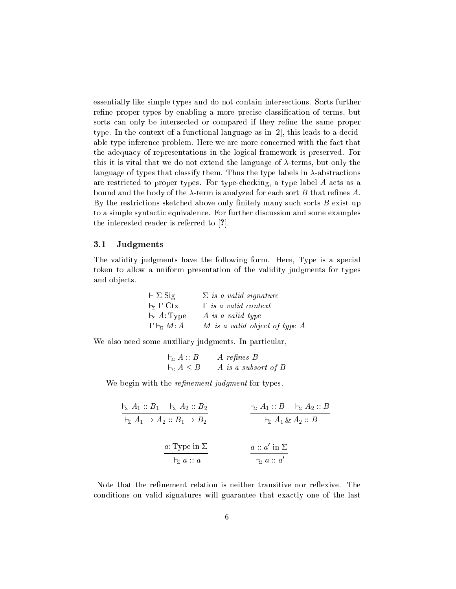essentially like simple types and do not contain intersections. Sorts further refine proper types by enabling a more precise classification of terms, but sorts can only be intersected or compared if they refine the same proper type. In the context of a functional language as in  $[2]$ , this leads to a decidable type inference problem. Here we are more concerned with the fact that the adequa
y of representations in the logi
al framework is preserved. For this it is vital that we do not extend the language of  $\lambda$ -terms, but only the language of types that classify them. Thus the type labels in  $\lambda$ -abstractions are restricted to proper types. For type-checking, a type label  $A$  acts as a bound and the body of the  $\lambda$ -term is analyzed for each sort B that refines A. By the restrictions sketched above only finitely many such sorts  $B$  exist up to a simple syntactic equivalence. For further discussion and some examples the interested reader is referred to  $[?]$ .

#### 3.1 Judgments

The validity judgments have the following form. Here, Type is a special token to allow a uniform presentation of the validity judgments for types and objects.

| $\vdash \Sigma$ Sig               | $\Sigma$ is a valid signature |
|-----------------------------------|-------------------------------|
| $\vdash$ $\Gamma$ Ctx             | $\Gamma$ is a valid context   |
| $\vdash_{\Sigma} A:\mathrm{Type}$ | A is a valid type             |
| $\Gamma \vdash_{\Sigma} M:A$      | M is a valid object of type A |

We also need some auxiliary judgments. In particular,

| $\vdash_{\Sigma} A :: B$   | $A$ refines $B$     |
|----------------------------|---------------------|
| $\vdash_{\Sigma} A \leq B$ | A is a subsort of B |

We begin with the *refinement judgment* for types.

$$
\frac{1}{\zeta_2 A_1 :: B_1 \to A_2 :: B_1 \to B_2} \qquad \frac{1}{\zeta_2 A_1 :: B \to A_2 :: B}
$$
\n
$$
\frac{a: \text{Type in } \Sigma}{\zeta_2 a :: a} \qquad \frac{a :: a' \text{ in } \Sigma}{\zeta_2 a :: a'}
$$

Note that the refinement relation is neither transitive nor reflexive. The conditions on valid signatures will guarantee that exactly one of the last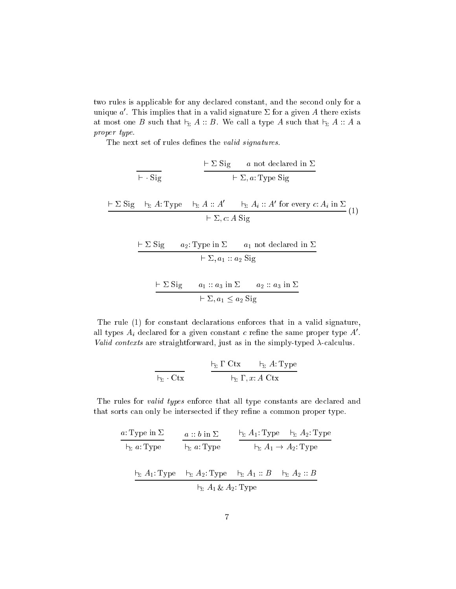two rules is applicable for any declared constant, and the second only for a unique  $a'$ . This implies that in a valid signature  $\Sigma$  for a given A there exists at most one B such that  $\vdash_{\Sigma} A :: B$ . We call a type A such that  $\vdash_{\Sigma} A :: A$  a proper type.

The next set of rules defines the *valid signatures*.

$$
\frac{\vdash \Sigma \text{ Sig} \quad a \text{ not declared in } \Sigma}{\vdash \Sigma, a: \text{Type Sig}}
$$
\n
$$
\frac{\vdash \Sigma \text{ Sig} \quad \vdash_{\Sigma} A: \text{Type } \vdash_{\Sigma} A :: A' \quad \vdash_{\Sigma} A_i :: A' \text{ for every } c: A_i \text{ in } \Sigma}{\vdash \Sigma, c: A \text{ Sig}}
$$
\n
$$
\frac{\vdash \Sigma \text{ Sig} \quad a_2: \text{Type in } \Sigma \quad a_1 \text{ not declared in } \Sigma}{\vdash \Sigma, a_1 :: a_2 \text{ Sig}}
$$
\n
$$
\vdash \Sigma \text{ Sig} \quad a_1 :: a_3 \text{ in } \Sigma \quad a_2 :: a_3 \text{ in } \Sigma
$$

$$
\vdash \Sigma, a_1 \leq a_2 \text{ Sig}
$$

The rule  $(1)$  for constant declarations enforces that in a valid signature, all types  $A_i$  declared for a given constant c refine the same proper type  $A'$ . Valid contexts are straightforward, just as in the simply-typed  $\lambda$ -calculus.

$$
\frac{1_{\Sigma} \Gamma \mathrm{C} \mathrm{t} \mathrm{x}}{1_{\Sigma} \Gamma \mathrm{C} \mathrm{t} \mathrm{x}} \qquad \frac{1_{\Sigma} \Gamma \mathrm{C} \mathrm{t} \mathrm{x}}{1_{\Sigma} \Gamma, x : A \mathrm{C} \mathrm{t} \mathrm{x}}
$$

The rules for *valid types* enforce that all type constants are declared and that sorts can only be intersected if they refine a common proper type.

$$
\frac{a: \text{Type in } \Sigma}{\vdash_{\Sigma} a: \text{Type}} \qquad \frac{a::b \text{ in } \Sigma}{\vdash_{\Sigma} a: \text{Type}} \qquad \frac{\vdash_{\Sigma} A_1: \text{Type} \qquad \vdash_{\Sigma} A_2: \text{Type}}{\vdash_{\Sigma} A_1 \rightarrow A_2: \text{Type}}
$$
\n
$$
\frac{\vdash_{\Sigma} A_1: \text{Type} \qquad \vdash_{\Sigma} A_2: \text{Type} \qquad \vdash_{\Sigma} A_1::B \qquad \vdash_{\Sigma} A_2::B}{\vdash_{\Sigma} A_1 \& A_2: \text{Type}}
$$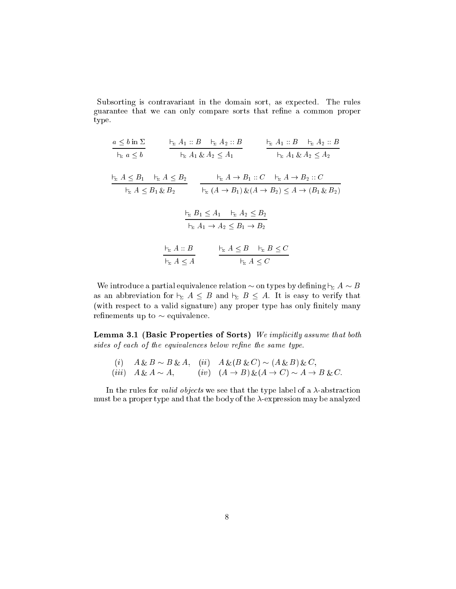Subsorting is contravariant in the domain sort, as expected. The rules guarantee that we can only compare sorts that refine a common proper type.

$$
\frac{a \le b \text{ in } \Sigma}{\vdash_{\Sigma} a \le b} \qquad \frac{\vdash_{\Sigma} A_1 :: B \quad \vdash_{\Sigma} A_2 :: B}{\vdash_{\Sigma} A_1 \& A_2 \le A_1} \qquad \frac{\vdash_{\Sigma} A_1 :: B \quad \vdash_{\Sigma} A_2 :: B}{\vdash_{\Sigma} A_1 \& A_2 \le A_2}
$$
\n
$$
\frac{\vdash_{\Sigma} A \le B_1 \quad \vdash_{\Sigma} A \le B_2}{\vdash_{\Sigma} A \le B_1 \& B_2} \qquad \frac{\vdash_{\Sigma} A \rightarrow B_1 :: C \quad \vdash_{\Sigma} A \rightarrow B_2 :: C}{\vdash_{\Sigma} (A \rightarrow B_1) \& (A \rightarrow B_2) \le A \rightarrow (B_1 \& B_2)}
$$
\n
$$
\frac{\vdash_{\Sigma} B_1 \le A_1 \quad \vdash_{\Sigma} A_2 \le B_2}{\vdash_{\Sigma} A_1 \rightarrow A_2 \le B_1 \rightarrow B_2}
$$
\n
$$
\frac{\vdash_{\Sigma} A :: B}{\vdash_{\Sigma} A \le B} \qquad \frac{\vdash_{\Sigma} A \le B \quad \vdash_{\Sigma} B \le C}{\vdash_{\Sigma} A \le A}
$$

We introduce a partial equivalence relation  $\sim$  on types by defining  $\vdash_{\Sigma} A \sim B$ as an abbreviation for  $\vdash_{\Sigma} A \leq B$  and  $\vdash_{\Sigma} B \leq A$ . It is easy to verify that (with respect to a valid signature) any proper type has only finitely many refinements up to  $\sim$  equivalence.

Lemma 3.1 (Basic Properties of Sorts) We implicitly assume that both sides of each of the equivalences below refine the same type.

(i) 
$$
A \& B \sim B \& A
$$
, (ii)  $A \& (B \& C) \sim (A \& B) \& C$ ,  
(iii)  $A \& A \sim A$ , (iv)  $(A \rightarrow B) \& (A \rightarrow C) \sim A \rightarrow B \& C$ .

In the rules for *valid objects* we see that the type label of a  $\lambda$ -abstraction must be a proper type and that the body of the  $\lambda$ -expression may be analyzed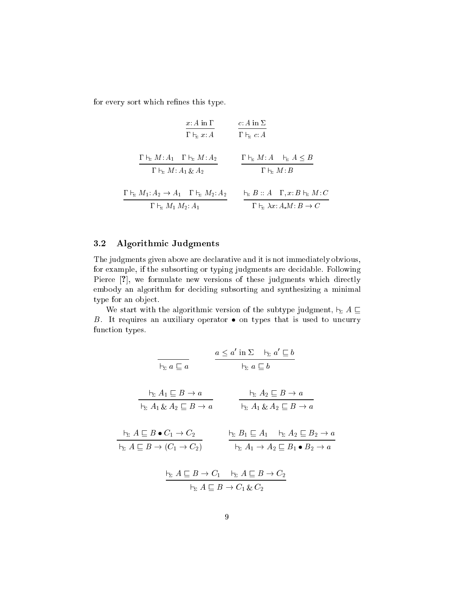for every sort which refines this type.

$$
\frac{x: A \text{ in } \Gamma}{\Gamma \vdash_{\Sigma} x:A} \qquad \frac{c: A \text{ in } \Sigma}{\Gamma \vdash_{\Sigma} c:A}
$$
\n
$$
\frac{\Gamma \vdash_{\Sigma} M: A_1 \quad \Gamma \vdash_{\Sigma} M: A_2}{\Gamma \vdash_{\Sigma} M: A_1 \& A_2} \qquad \frac{\Gamma \vdash_{\Sigma} M: A \quad \vdash_{\Sigma} A \leq B}{\Gamma \vdash_{\Sigma} M: B}
$$
\n
$$
\frac{\Gamma \vdash_{\Sigma} M: A_1 \vdash_{\Sigma} A_2}{\Gamma \vdash_{\Sigma} M_1 M_2: A_1} \qquad \frac{\vdash_{\Sigma} B:: A \quad \Gamma, x: B \vdash_{\Sigma} M: C}{\Gamma \vdash_{\Sigma} \lambda x: A.M: B \to C}
$$

## 3.2 Algorithmi Judgments

The judgments given above are de
larative and it is not immediately obvious, for example, if the subsorting or typing judgments are de
idable. Following Pierce [?], we formulate new versions of these judgments which directly embody an algorithm for de
iding subsorting and synthesizing a minimal type for an object.

We start with the algorithmic version of the subtype judgment,  $\vdash_{\Sigma} A \sqsubseteq$ B. It requires an auxiliary operator  $\bullet$  on types that is used to uncurry function types.

$$
\frac{a \le a' \text{ in } \Sigma \quad \frac{\Box}{\Box a} \le b}{\Box a \subseteq b}
$$
\n
$$
\frac{\Box}{\Box a} \le A_1 \subseteq B \to a
$$
\n
$$
\frac{\Box}{\Box a} A_1 \& A_2 \subseteq B \to a
$$
\n
$$
\frac{\Box}{\Box a} A_1 \& A_2 \subseteq B \to a
$$
\n
$$
\frac{\Box}{\Box a} A_1 \& A_2 \subseteq B \to a
$$
\n
$$
\frac{\Box}{\Box a} A_1 \& A_2 \subseteq B \to a
$$
\n
$$
\frac{\Box}{\Box a} A_1 \& A_2 \subseteq B \to a
$$
\n
$$
\frac{\Box}{\Box a} A_1 \& A_2 \subseteq B \to a
$$
\n
$$
\frac{\Box}{\Box a} A_1 \& A_2 \subseteq B_2 \to a
$$
\n
$$
\frac{\Box}{\Box a} A_1 \rightarrow A_2 \subseteq B_1 \bullet B_2 \to a
$$
\n
$$
\frac{\Box}{\Box a} A \subseteq B \to C_1 \quad \frac{\Box}{\Box a} A \subseteq B \to C_2
$$
\n
$$
\frac{\Box}{\Box a} A \subseteq B \to C_1 \& C_2
$$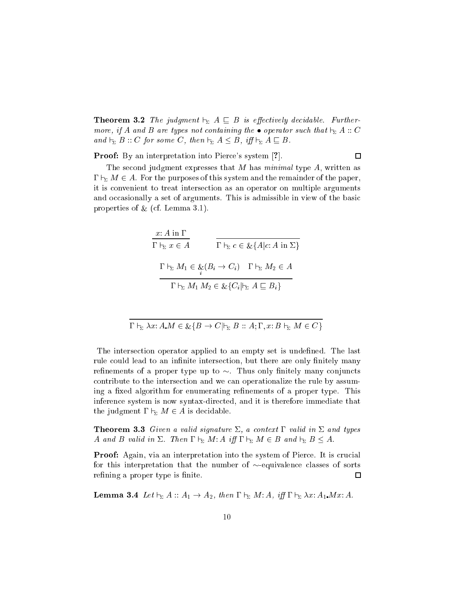**Theorem 3.2** The judgment  $\vdash_{\Sigma} A \subseteq B$  is effectively decidable. Furthermore, if A and B are types not containing the  $\bullet$  operator such that  $\vdash_{\Sigma} A :: C$ and  $\vdash_{\Sigma} B :: C$  for some C, then  $\vdash_{\Sigma} A \leq B$ , iff  $\vdash_{\Sigma} A \sqsubseteq B$ .

**Proof:** By an interpretation into Pierce's system [?].

#### $\Box$

The second judgment expresses that M has *minimal* type  $A$ , written as  $\Gamma \vdash_{\Sigma} M \in A$ . For the purposes of this system and the remainder of the paper, it is onvenient to treat interse
tion as an operator on multiple arguments and occasionally a set of arguments. This is admissible in view of the basic properties of  $\alpha$ , (see the second stationary).

$$
\frac{x: A \text{ in } \Gamma}{\Gamma \vdash_{\Sigma} x \in A} \qquad \frac{\Gamma \vdash_{\Sigma} c \in \& \{A | c: A \text{ in } \Sigma\}}{\Gamma \vdash_{\Sigma} M_1 \in \underbrace{\&}_{i} (B_i \to C_i) \quad \Gamma \vdash_{\Sigma} M_2 \in A}{\Gamma \vdash_{\Sigma} M_1 M_2 \in \& \{C_i | \vdash_{\Sigma} A \sqsubseteq B_i\}}
$$

$$
\Gamma \vdash_{\Sigma} \lambda x : A.M \in \mathcal{L}\{B \to C | \vdash_{\Sigma} B :: A ; \Gamma, x : B \vdash_{\Sigma} M \in C\}
$$

The intersection operator applied to an empty set is undefined. The last rule could lead to an infinite intersection, but there are only finitely many refinements of a proper type up to  $\sim$ . Thus only finitely many conjuncts contribute to the intersection and we can operationalize the rule by assuming a fixed algorithm for enumerating refinements of a proper type. This inference system is now syntax-directed, and it is therefore immediate that the judgment  $\Gamma \vdash_{\Sigma} M \in A$  is decidable.

**Theorem 3.3** Given a valid signature  $\Sigma$ , a context  $\Gamma$  valid in  $\Sigma$  and types A and B valid in  $\Sigma$ . Then  $\Gamma \vdash_{\Sigma} M: A$  iff  $\Gamma \vdash_{\Sigma} M \in B$  and  $\vdash_{\Sigma} B \leq A$ .

**Proof:** Again, via an interpretation into the system of Pierce. It is crucial for this interpretation that the number of  $\sim$ -equivalence classes of sorts refining a proper type is finite.  $\Box$ 

**Lemma 3.4** Let  $\vdash_{\Sigma} A :: A_1 \rightarrow A_2$ , then  $\Gamma \vdash_{\Sigma} M:A$ , iff  $\Gamma \vdash_{\Sigma} \lambda x:A_1 M x:A$ .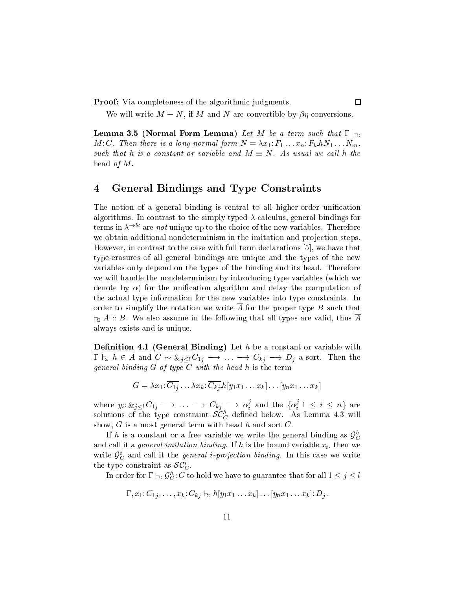Proof: Via completeness of the algorithmic judgments.

We will write  $M \equiv N$ , if M and N are convertible by  $\beta \eta$ -conversions.

 $\Box$ 

**Lemma 3.5 (Normal Form Lemma)** Let M be a term such that  $\Gamma \vdash_{\Sigma}$ M: C. Then there is a long normal form  $N = \lambda x_1 : F_1 \dots x_n : F_k \triangle N_1 \dots N_m$ , such that h is a constant or variable and  $M \equiv N$ . As usual we call h the head of M.

# 4 General Bindings and Type Constraints

The notion of a general binding is central to all higher-order unification algorithms. In contrast to the simply typed  $\lambda$ -calculus, general bindings for terms in  $\lambda$  . Therefore unique up to the choice of the new variables. Therefore we obtain additional nondeterminism in the imitation and projection steps. However, in contrast to the case with full term declarations  $[5]$ , we have that type-erasures of all general bindings are unique and the types of the new variables only depend on the types of the binding and its head. Therefore we will handle the nondeterminism by introducing type variables (which we denote by  $\alpha$ ) for the unification algorithm and delay the computation of the actual type information for the new variables into type constraints. In order to simplify the notation we write  $\overline{A}$  for the proper type B such that  $\vdash_{\Sigma} A :: B.$  We also assume in the following that all types are valid, thus  $\overline{A}$ always exists and is unique.

**Definition 4.1 (General Binding)** Let  $h$  be a constant or variable with  $\Gamma \vdash_{\Sigma} h \in A$  and  $C \sim \&_{j \leq l} C_{1j} \longrightarrow \ldots \longrightarrow C_{kj} \longrightarrow D_j$  a sort. Then the general binding  $G$  of type  $C$  with the head  $h$  is the term

$$
G = \lambda x_1 \cdot \overline{C_{1j}} \dots \lambda x_k \cdot \overline{C_{kj}} \, h[y_1 x_1 \dots x_k] \dots [y_n x_1 \dots x_k]
$$

where  $y_i: \&_{j \leq l} C_{1j} \longrightarrow \ldots \longrightarrow C_{kj} \longrightarrow \alpha_i^j$  and the  $\{\alpha_i^j | 1 \leq i \leq n\}$  are solutions of the type constraint  $\mathcal{SC}_C^h$  defined below. As Lemma 4.3 will show,  $G$  is a most general term with head  $h$  and sort  $C$ .

If h is a constant or a free variable we write the general binding as  $\mathcal{G}_{C}^{h}$ and call it a *general imitation binding*. If h is the bound variable  $x_i$ , then we write  $\mathcal{G}_{C}^{i}$  and call it the *general i-projection binding*. In this case we write the type constraint as  $\mathcal{SC}_{C}^{i}$ .

In order for  $\Gamma \vdash_\Sigma \mathcal{G}_C^h\colon C$  to hold we have to guarantee that for all  $1 \leq j \leq l$ 

$$
\Gamma, x_1: C_{1j}, \ldots, x_k: C_{kj} \vdash_{\Sigma} h[y_1x_1 \ldots x_k] \ldots [y_nx_1 \ldots x_k]: D_j.
$$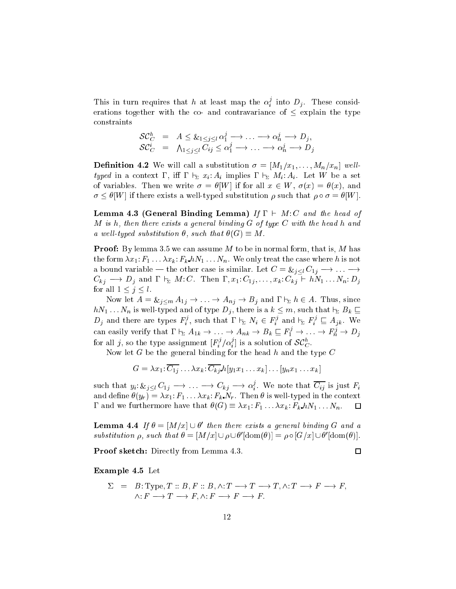This in turn requires that h at least map the  $\alpha_i^j$  into  $D_j$ . These considerations together with the co- and contravariance of  $\leq$  explain the type onstraints

$$
\begin{array}{rcl}\n\mathcal{SC}_C^h &=& A \leq \&_{1 \leq j \leq l} \alpha_1^j \longrightarrow \dots \longrightarrow \alpha_n^j \longrightarrow D_j, \\
\mathcal{SC}_C^i &=& \bigwedge_{1 \leq j \leq l} C_{ij} \leq \alpha_1^j \longrightarrow \dots \longrightarrow \alpha_n^j \longrightarrow D_j\n\end{array}
$$

**Definition 4.2** We will call a substitution  $\sigma = [M_1/x_1, \ldots, M_n/x_n]$  welltyped in a context  $\Gamma$ , iff  $\Gamma \vdash_{\Sigma} x_i: A_i$  implies  $\Gamma \vdash_{\Sigma} M_i: A_i$ . Let W be a set of variables. Then we write  $\sigma = \theta[W]$  if for all  $x \in W$ ,  $\sigma(x) = \theta(x)$ , and  $\sigma \leq \theta[W]$  if there exists a well-typed substitution  $\rho$  such that  $\rho \circ \sigma = \theta[W]$ .

**Lemma 4.3 (General Binding Lemma)** If  $\Gamma \vdash M:C$  and the head of M is h, then there exists a general binding G of type C with the head h and a well-typed substitution  $\theta$ , such that  $\theta(G) \equiv M$ .

**Proof:** By lemma 3.5 we can assume M to be in normal form, that is, M has the form  $\lambda x_1$ :  $F_1 \ldots \lambda x_k$ :  $F_k h N_1 \ldots N_n$ . We only treat the case where h is not a bound variable — the other case is similar. Let  $C = \mathcal{L}_i \ltimes_i C_{1j} \longrightarrow \dots \longrightarrow$  $C_{kj} \longrightarrow D_j$  and  $\Gamma \vdash_{\Sigma} M:C$ . Then  $\Gamma, x_1: C_{1j}, \ldots, x_k: C_{kj} \vdash hN_1 \ldots N_n: D_j$ for all  $1 \leq j \leq l$ .

Now let  $A = \&_{j \leq m} A_{1j} \to \dots \to A_{nj} \to B_j$  and  $\Gamma \vdash_{\Sigma} h \in A$ . Thus, since  $hN_1 \ldots N_n$  is well-typed and of type  $D_j$ , there is a  $k \leq m$ , such that  $\vdash_{\Sigma} B_k \sqsubseteq$  $D_j$  and there are types  $F_i^j$ , such that  $\Gamma \vdash_{\Sigma} N_i \in F_i^j$  and  $\vdash_{\Sigma} F_i^j \sqsubseteq A_{jk}$ . We can easily verify that  $\Gamma\vdash_\Sigma A_{1k}\to\ldots\to A_{nk}\to B_k\sqsubseteq F_1^j\to\ldots\to F_n^j\to D_j$ for all j, so the type assignment  $[F_i^j/\alpha_i^j]$  is a solution of  $\mathcal{SC}_C^h$ .

Now let  $G$  be the general binding for the head  $h$  and the type  $C$ 

$$
G = \lambda x_1 \colon \overline{C_{1j}} \dots \lambda x_k \colon \overline{C_{kj}} \, h[y_1 x_1 \dots x_k] \dots [y_n x_1 \dots x_k]
$$

such that  $y_i\!:\&_{j\leq l}\,C_{1j}\,\longrightarrow\,\ldots\,\longrightarrow\,C_{kj}\,\longrightarrow\,\alpha_i^j.$  We note that  $\overline{C_{ij}}$  is just  $F_i$ and define  $\theta(y_r) = \lambda x_1$ :  $F_1 \ldots \lambda x_k$ :  $F_k N_r$ . Then  $\theta$  is well-typed in the context  $\Gamma$  and we furthermore have that  $\theta(G) \equiv \lambda x_1 : F_1 \dots \lambda x_k : F_k \cdot hN_1 \dots N_n$ .  $\Box$ 

**Lemma 4.4** If  $\sigma = |M/x| \cup \sigma$  when there exists a general binaing G and a  $susutuation \rho$ , such that  $\sigma = |M/X| \cup \rho \cup \sigma$   $|\text{dom}(\sigma)| = \rho \circ |\text{G}/X| \cup \sigma$   $|\text{dom}(\sigma)|$ .

 $\Box$ 

Proof sketch: Directly from Lemma 4.3.

#### Example 4.5 Let

$$
\Sigma = B: Type, T :: B, F :: B, \wedge : T \longrightarrow T \longrightarrow T, \wedge : T \longrightarrow F \longrightarrow F,
$$
  

$$
\wedge : F \longrightarrow T \longrightarrow F, \wedge : F \longrightarrow F \longrightarrow F.
$$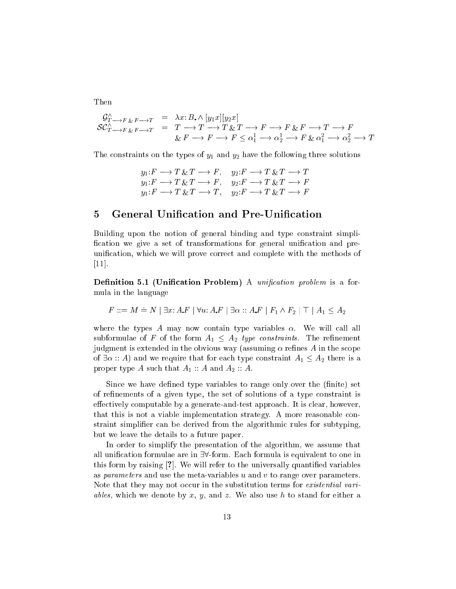Then

$$
\begin{array}{rcl}\n\mathcal{G}_{T \longrightarrow F \& F \longrightarrow T}^{A} & = & \lambda x: B \land [y_1 x][y_2 x] \\
\mathcal{SC}_{T \longrightarrow F \& F \longrightarrow T}^{A} & = & T \longrightarrow T \longrightarrow T \& T \longrightarrow F \longrightarrow F \longrightarrow F \& F \longrightarrow T \longrightarrow F \\
& \& F \longrightarrow F \longrightarrow F \leq \alpha_1^1 \longrightarrow \alpha_2^1 \longrightarrow F \& \alpha_1^2 \longrightarrow \alpha_2^2 \longrightarrow T\n\end{array}
$$

The constraints on the types of  $y_1$  and  $y_2$  have the following three solutions

$$
y_1: F \longrightarrow T \& T \longrightarrow F, \quad y_2: F \longrightarrow T \& T \longrightarrow T
$$
  

$$
y_1: F \longrightarrow T \& T \longrightarrow F, \quad y_2: F \longrightarrow T \& T \longrightarrow F
$$
  

$$
y_1: F \longrightarrow T \& T \longrightarrow T, \quad y_2: F \longrightarrow T \& T \longrightarrow F
$$

# 5 General Unification and Pre-Unification

Building upon the notion of general binding and type onstraint simpli fication we give a set of transformations for general unification and preunification, which we will prove correct and complete with the methods of  $[11]$ .

Definition 5.1 (Unification Problem) A unification problem is a formula in the language

$$
F ::= M \doteq N \mid \exists x: A.F \mid \forall u: A.F \mid \exists \alpha :: A.F \mid F_1 \land F_2 \mid \top \mid A_1 \le A_2
$$

where the types A may now contain type variables  $\alpha$ . We will call all subformulae of F of the form  $A_1 \leq A_2$  type constraints. The refinement judgment is extended in the obvious way (assuming  $\alpha$  refines A in the scope of  $\exists \alpha :: A$  and we require that for each type constraint  $A_1 \leq A_2$  there is a proper type A such that  $A_1 :: A$  and  $A_2 :: A$ .

Since we have defined type variables to range only over the (finite) set of refinements of a given type, the set of solutions of a type constraint is effectively computable by a generate-and-test approach. It is clear, however, that this is not a viable implementation strategy. A more reasonable onstraint simplifier can be derived from the algorithmic rules for subtyping. but we leave the details to a future paper.

In order to simplify the presentation of the algorithm, we assume that all unification formulae are in  $\exists \forall$ -form. Each formula is equivalent to one in this form by raising  $[?]$ . We will refer to the universally quantified variables as parameters and use the meta-variables u and v to range over parameters. Note that they may not occur in the substitution terms for existential vari*ables*, which we denote by x, y, and z. We also use h to stand for either a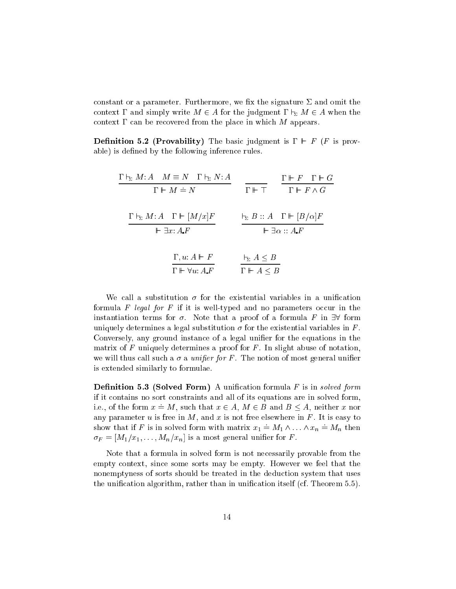constant or a parameter. Furthermore, we fix the signature  $\Sigma$  and omit the context  $\Gamma$  and simply write  $M \in A$  for the judgment  $\Gamma \vdash_{\Sigma} M \in A$  when the context  $\Gamma$  can be recovered from the place in which M appears.

**Definition 5.2 (Provability)** The basic judgment is  $\Gamma \vdash F$  (*F* is provable) is defined by the following inference rules.

| $\Gamma \vdash_{\Sigma} M:A \quad M \equiv N \quad \Gamma \vdash_{\Sigma} N:A$ |                            | $\Gamma \vdash F \quad \Gamma \vdash G$                  |
|--------------------------------------------------------------------------------|----------------------------|----------------------------------------------------------|
| $\Gamma \vdash M \doteq N$                                                     |                            | $\Gamma \vdash \top$ $\Gamma \vdash F \wedge G$          |
|                                                                                |                            |                                                          |
| $\Gamma \vdash_{\Sigma} M:A \quad \Gamma \Vdash [M/x]F$                        |                            | $\vdash_{\Sigma} B :: A \quad \Gamma \vdash [B/\alpha]F$ |
| $\vdash \exists x: A.F$                                                        |                            | $\vdash \exists \alpha :: A.F$                           |
|                                                                                |                            |                                                          |
| $\Gamma, u: A \vdash F$                                                        | $\vdash_{\Sigma} A \leq B$ |                                                          |
| $\Gamma \vdash \forall u: A \ F$                                               | $\Gamma \vdash A \leq B$   |                                                          |

We call a substitution  $\sigma$  for the existential variables in a unification formula F legal for F if it is well-typed and no parameters occur in the instantiation terms for  $\sigma$ . Note that a proof of a formula F in  $\exists\forall$  form uniquely determines a legal substitution  $\sigma$  for the existential variables in F. Conversely, any ground instance of a legal unifier for the equations in the matrix of  $F$  uniquely determines a proof for  $F$ . In slight abuse of notation, we will thus call such a  $\sigma$  a *unifier for* F. The notion of most general unifier is extended similarly to formulae.

**Definition 5.3 (Solved Form)** A unification formula  $F$  is in solved form if it ontains no sort onstraints and all of its equations are in solved form, i.e., of the form  $x = M$ , such that  $x \in A$ ,  $M \in B$  and  $B \le A$ , neither x nor any parameter u is free in  $M$ , and x is not free elsewhere in  $F$ . It is easy to show that if F is in solved form with matrix  $x_1 = M_1 \wedge \ldots \wedge x_n = M_n$  then  $\sigma_F = [M_1/x_1, \ldots, M_n/x_n]$  is a most general unifier for F.

Note that a formula in solved form is not ne
essarily provable from the empty ontext, sin
e some sorts may be empty. However we feel that the nonemptyness of sorts should be treated in the deduction system that uses the unification algorithm, rather than in unification itself (cf. Theorem 5.5).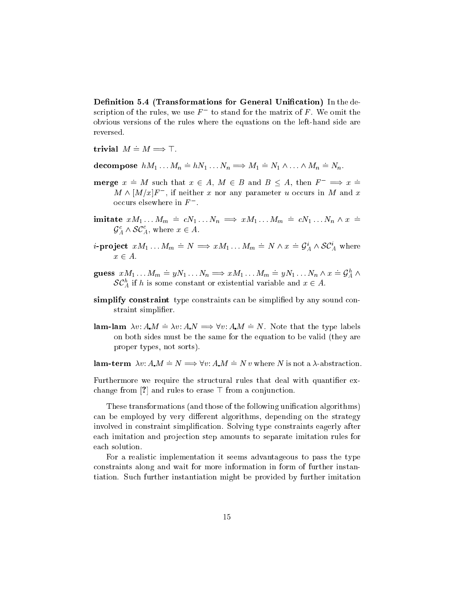Definition 5.4 (Transformations for General Unification) In the description of the rules, we use  $F^-$  to stand for the matrix of F. We omit the obvious versions of the rules where the equations on the left-hand side are reversed.

trivial  $M \doteq M \Longrightarrow \top$ .

decompose  $hM_1 \dots M_n \doteq hN_1 \dots N_n \Longrightarrow M_1 \doteq N_1 \wedge \dots \wedge M_n \doteq N_n$ .

- **nnerge**  $x \doteq M$  such that  $x \in A$ ,  $M \in B$  and  $B \leq A$ , then  $F^{-} \implies x \doteq$  $M \wedge [M/x]F^-$ , if neither x nor any parameter u occurs in M and x occurs elsewhere in  $F^-$ .
- imitate  $xM_1...M_m = cN_1...N_n \implies xM_1...M_m = cN_1...N_n \wedge x =$  $\mathcal{G}_{A}^{c} \wedge \mathcal{SC}_{A}^{c}$ , where  $x \in A$ .
- *i*-project  $xM_1 \t M_m \doteq N \implies xM_1 \t M_m \doteq N \wedge x \doteq \mathcal{G}_A^i \wedge \mathcal{SC}_A^i$  where  $x \in A$ .
- guess  $xM_1...M_m \doteq yN_1...N_n \Longrightarrow xM_1...M_m \doteq yN_1...N_n \wedge x \doteq \mathcal{G}_A^h \wedge$  $\mathcal{SC}_A^h$  if h is some constant or existential variable and  $x \in A$ .
- simplify constraint type constraints can be simplified by any sound constraint simplifier.
- **lam-lam**  $\lambda v: A.M \doteq \lambda v: A.N \Rightarrow \forall v: A.M \doteq N$ . Note that the type labels on both sides must be the same for the equation to be valid (they are proper types, not sorts).

lam-term  $\lambda v: A.M \doteq N \Longrightarrow \forall v: A.M \doteq N v$  where N is not a  $\lambda$ -abstraction.

Furthermore we require the structural rules that deal with quantifier exchange from [?] and rules to erase  $\top$  from a conjunction.

These transformations (and those of the following unification algorithms) can be employed by very different algorithms, depending on the strategy involved in constraint simplification. Solving type constraints eagerly after each imitation and projection step amounts to separate imitation rules for each solution.

For a realistic implementation it seems advantageous to pass the type constraints along and wait for more information in form of further instantiation. Such further instantiation might be provided by further imitation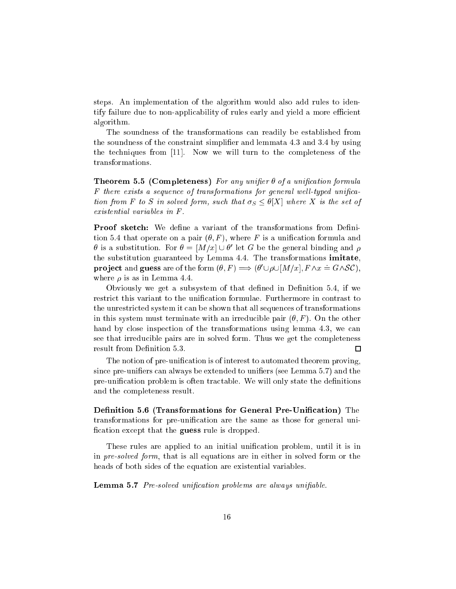steps. An implementation of the algorithm would also add rules to identify failure due to non-applicability of rules early and yield a more efficient algorithm.

The soundness of the transformations an readily be established from the soundness of the constraint simplifier and lemmata 4.3 and 3.4 by using the techniques from  $[11]$ . Now we will turn to the completeness of the transformations.

Theorem 5.5 (Completeness) For any unifier  $\theta$  of a unification formula F there exists a sequence of transformations for general well-typed unification from F to S in solved form, such that  $\sigma_S \leq \theta[X]$  where X is the set of existential variables in F .

**Proof sketch:** We define a variant of the transformations from Definition 5.4 that operate on a pair  $(\theta, F)$ , where F is a unification formula and  $\sigma$  is a substitution. For  $\sigma = |M/x| \cup \sigma$  for  $G$  be the general binding and  $\rho$ the substitution guaranteed by Lemma 4.4. The transformations imitate, **project** and **guess** are of the form  $(\theta, F) \implies (\theta' \cup \rho \cup [M/x], F \wedge x = G \wedge SC)$ . where  $\rho$  is as in Lemma 4.4.

Obviously we get a subsystem of that defined in Definition  $5.4$ , if we restrict this variant to the unification formulae. Furthermore in contrast to the unrestri
ted system it an be shown that all sequen
es of transformations in this system must terminate with an irreducible pair  $(\theta, F)$ . On the other hand by close inspection of the transformations using lemma 4.3, we can see that irreducible pairs are in solved form. Thus we get the completeness result from Definition 5.3.  $\Box$ 

The notion of pre-unification is of interest to automated theorem proving, since pre-unifiers can always be extended to unifiers (see Lemma 5.7) and the pre-unification problem is often tractable. We will only state the definitions and the ompleteness result.

Definition 5.6 (Transformations for General Pre-Unification) The transformations for pre-unification are the same as those for general unification except that the **guess** rule is dropped.

These rules are applied to an initial unification problem, until it is in in pre-solved form, that is all equations are in either in solved form or the heads of both sides of the equation are existential variables.

**Lemma 5.7** Pre-solved unification problems are always unifiable.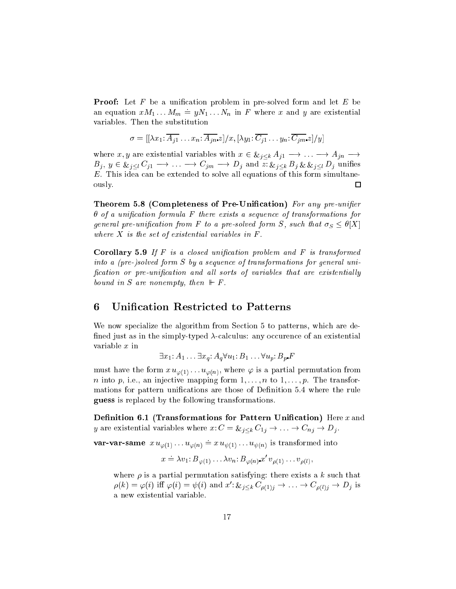**Proof:** Let  $F$  be a unification problem in pre-solved form and let  $E$  be an equation  $xM_1...M_m = yN_1...N_n$  in F where x and y are existential variables. Then the substitution

$$
\sigma = [[\lambda x_1; \overline{A_{j1}} \dots x_n; \overline{A_{jn}}z]/x, [\lambda y_1; \overline{C_{j1}} \dots y_n; \overline{C_{jm}}z]/y]
$$

where x, y are existential variables with  $x \in \mathcal{L}_{j \leq k} A_{j1} \longrightarrow \dots \longrightarrow A_{jn} \longrightarrow$  $B_j, y \in \&_{j \leq l} C_{j1} \longrightarrow \dots \longrightarrow C_{jm} \longrightarrow D_j$  and  $z: \&_{j \leq k} B_j \& \&_{j \leq l} D_j$  unifies  $E$ . This idea can be extended to solve all equations of this form simultaneously. 口

Theorem 5.8 (Completeness of Pre-Unification) For any pre-unifier  $\theta$  of a unification formula F there exists a sequence of transformations for general pre-unification from F to a pre-solved form S, such that  $\sigma_S \leq \theta[X]$ where  $X$  is the set of existential variables in  $F$ .

**Corollary 5.9** If  $F$  is a closed unification problem and  $F$  is transformed into a (pre-)solved form S by a sequence of transformations for general unification or pre-unification and all sorts of variables that are existentially bound in S are nonempty, then  $\mathbb{F} F$ .

#### 6 **Unification Restricted to Patterns**

We now specialize the algorithm from Section 5 to patterns, which are defined just as in the simply-typed  $\lambda$ -calculus: any occurence of an existential variable  $x$  in

 $\exists x_1: A_1 \ldots \exists x_a: A_a \forall u_1: B_1 \ldots \forall u_n: B_n F$ 

must have the form  $x u_{\varphi(1)} \dots u_{\varphi(n)}$ , where  $\varphi$  is a partial permutation from *n* into *p*, i.e., an injective mapping form  $1, \ldots, n$  to  $1, \ldots, p$ . The transformations for pattern unifications are those of Definition 5.4 where the rule guess is replaced by the following transformations.

Definition 6.1 (Transformations for Pattern Unification) Here  $x$  and y are existential variables where  $x: C = \mathcal{L}_{j \leq k} C_{1j} \to \ldots \to C_{nj} \to D_j$ .

**var-var-same**  $x u_{\varphi(1)} \dots u_{\varphi(n)} = x u_{\psi(1)} \dots u_{\psi(n)}$  is transformed into

$$
x \doteq \lambda v_1 \colon B_{\varphi(1)} \dots \lambda v_n \colon B_{\varphi(n)} x' \, v_{\rho(1)} \dots v_{\rho(l)},
$$

where  $\rho$  is a partial permutation satisfying: there exists a k such that  $\rho(k) = \varphi(i)$  iff  $\varphi(i) = \psi(i)$  and  $x' : \&_{j \leq k} C_{\rho(1)j} \to \dots \to C_{\rho(l)j} \to D_j$  is a new existential variable.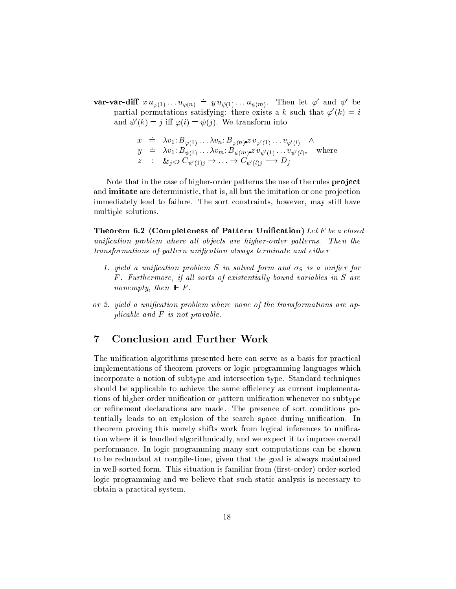**var-var-diff**  $x u_{\varphi(1)} \dots u_{\varphi(n)} \doteq y u_{\psi(1)} \dots u_{\psi(m)}$ . Then let  $\varphi'$  and  $\psi'$  be partial permutations satisfying: there exists a k such that  $\varphi'(k) = i$ and  $\psi'(k) = j$  iff  $\varphi(i) = \psi(j)$ . We transform into

$$
x \doteq \lambda v_1: B_{\varphi(1)} \dots \lambda v_n: B_{\varphi(n)} \times v_{\varphi'(1)} \dots v_{\varphi'(l)} \wedge
$$
  
\n
$$
y \doteq \lambda v_1: B_{\psi(1)} \dots \lambda v_m: B_{\psi(m)} \times v_{\psi'(1)} \dots v_{\psi'(l)}, \text{ where}
$$
  
\n
$$
z \vdots \& j \leq k \ C_{\psi'(1)j} \rightarrow \dots \rightarrow C_{\psi'(l)j} \longrightarrow D_j
$$

Note that in the case of higher-order patterns the use of the rules **project** and **imitate** are deterministic, that is, all but the imitation or one projection immediately lead to failure. The sort constraints, however, may still have multiple solutions.

Theorem 6.2 (Completeness of Pattern Unification) Let F be a closed unification problem where all objects are higher-order patterns. Then the transformations of pattern unification always terminate and either

- 1. yield a unification problem S in solved form and  $\sigma_S$  is a unifier for F. Furthermore, if all sorts of existentially bound variables in S are nonempty, then  $\mathbb{F}$ .
- or 2. yield a unification problem where none of the transformations are applicable and  $F$  is not provable.

#### $\overline{7}$ **Conclusion and Further Work**

The unification algorithms presented here can serve as a basis for practical implementations of theorem provers or logic programming languages which incorporate a notion of subtype and intersection type. Standard techniques should be applicable to achieve the same efficiency as current implementations of higher-order unification or pattern unification whenever no subtype or refinement declarations are made. The presence of sort conditions potentially leads to an explosion of the search space during unification. In theorem proving this merely shifts work from logical inferences to unification where it is handled algorithmically, and we expect it to improve overall performance. In logic programming many sort computations can be shown to be redundant at compile-time, given that the goal is always maintained in well-sorted form. This situation is familiar from (first-order) order-sorted logic programming and we believe that such static analysis is necessary to obtain a practical system.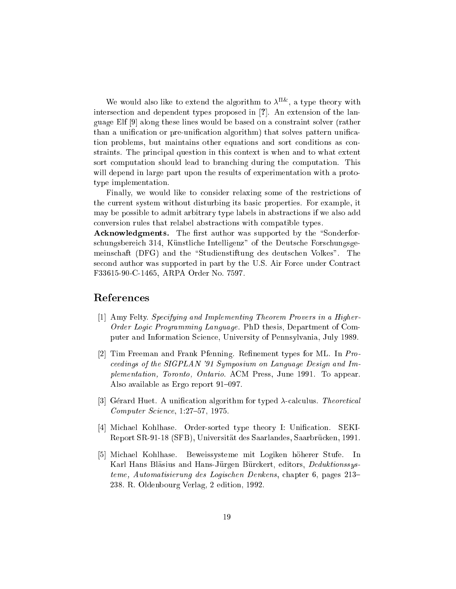we would also like to extend the algorithm to  $\lambda^{++}$ , a type theory with intersection and dependent types proposed in [?]. An extension of the language Elf [9] along these lines would be based on a constraint solver (rather than a unification or pre-unification algorithm) that solves pattern unification problems, but maintains other equations and sort conditions as constraints. The prin
ipal question in this ontext is when and to what extent sort computation should lead to branching during the computation. This will depend in large part upon the results of experimentation with a prototype implementation.

Finally, we would like to consider relaxing some of the restrictions of the urrent system without disturbing its basi properties. For example, it may be possible to admit arbitrary type labels in abstra
tions if we also add onversion rules that relabel abstra
tions with ompatible types.

Acknowledgments. The first author was supported by the "Sonderforschungsbereich 314, Künstliche Intelligenz" of the Deutsche Forschungsgemeinschaft (DFG) and the "Studienstiftung des deutschen Volkes". The second author was supported in part by the U.S. Air Force under Contract F33615-90-C-1465, ARPA Order No. 7597.

# Referen
es

- [1] Amy Felty. Specifying and Implementing Theorem Provers in a Higher-Order Logic Programming Language. PhD thesis, Department of Computer and Information S
ien
e, University of Pennsylvania, July 1989.
- [2] Tim Freeman and Frank Pfenning. Refinement types for ML. In  $Pro$ eedings of the SIGPLAN '91 Symposium on Language Design and Implementation, Toronto, Ontario. ACM Press, June 1991. To appear. Also available as Ergo report  $91-097$ .
- [3] Gérard Huet. A unification algorithm for typed  $\lambda$ -calculus. Theoretical Computer Science, 1:27-57, 1975.
- [4] Michael Kohlhase. Order-sorted type theory I: Unification. SEKI-Report SR-91-18 (SFB), Universität des Saarlandes, Saarbrücken, 1991.
- [5] Michael Kohlhase. Beweissysteme mit Logiken höherer Stufe. In Karl Hans Bläsius and Hans-Jürgen Bürckert, editors, Deduktionssysteme, Automatisierung des Logischen Denkens, chapter 6, pages 213– 238. R. Oldenbourg Verlag, 2 edition, 1992.